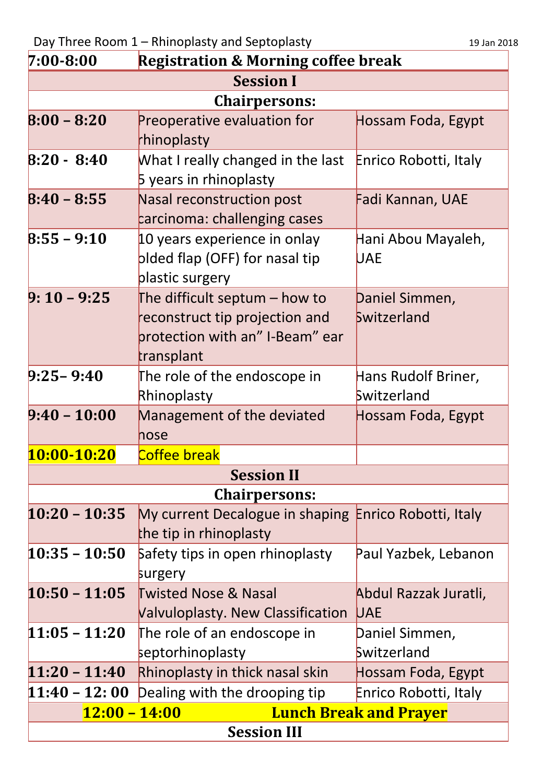| $7:00 - 8:00$                                    | <b>Registration &amp; Morning coffee break</b>        |                       |  |
|--------------------------------------------------|-------------------------------------------------------|-----------------------|--|
| <b>Session I</b>                                 |                                                       |                       |  |
| <b>Chairpersons:</b>                             |                                                       |                       |  |
| $8:00 - 8:20$                                    | Preoperative evaluation for                           | Hossam Foda, Egypt    |  |
|                                                  | rhinoplasty                                           |                       |  |
| $8:20 - 8:40$                                    | What I really changed in the last                     | Enrico Robotti, Italy |  |
|                                                  | 5 years in rhinoplasty                                |                       |  |
| $8:40 - 8:55$                                    | Nasal reconstruction post                             | Fadi Kannan, UAE      |  |
|                                                  | carcinoma: challenging cases                          |                       |  |
| $8:55 - 9:10$                                    | 10 years experience in onlay                          | Hani Abou Mayaleh,    |  |
|                                                  | plded flap (OFF) for nasal tip                        | <b>UAE</b>            |  |
|                                                  | plastic surgery                                       |                       |  |
| $9:10 - 9:25$                                    | The difficult septum - how to                         | Daniel Simmen,        |  |
|                                                  | reconstruct tip projection and                        | Switzerland           |  |
|                                                  | protection with an" I-Beam" ear                       |                       |  |
|                                                  | transplant                                            |                       |  |
| $9:25 - 9:40$                                    | The role of the endoscope in                          | Hans Rudolf Briner,   |  |
|                                                  | Rhinoplasty                                           | Switzerland           |  |
| $9:40 - 10:00$                                   | Management of the deviated                            | Hossam Foda, Egypt    |  |
|                                                  | hose                                                  |                       |  |
| 10:00-10:20                                      | Coffee break                                          |                       |  |
| <b>Session II</b>                                |                                                       |                       |  |
| <b>Chairpersons:</b>                             |                                                       |                       |  |
| $10:20 - 10:35$                                  | My current Decalogue in shaping Enrico Robotti, Italy |                       |  |
|                                                  | the tip in rhinoplasty                                |                       |  |
| $10:35 - 10:50$                                  | Safety tips in open rhinoplasty                       | Paul Yazbek, Lebanon  |  |
|                                                  | surgery                                               |                       |  |
| $10:50 - 11:05$                                  | <b>Twisted Nose &amp; Nasal</b>                       | Abdul Razzak Juratli, |  |
|                                                  | <b>Valvuloplasty. New Classification</b>              | <b>UAE</b>            |  |
| $11:05 - 11:20$                                  | The role of an endoscope in                           | Daniel Simmen,        |  |
|                                                  | septorhinoplasty                                      | Switzerland           |  |
| $11:20 - 11:40$                                  | Rhinoplasty in thick nasal skin                       | Hossam Foda, Egypt    |  |
| $11:40 - 12:00$                                  | Dealing with the drooping tip                         | Enrico Robotti, Italy |  |
| $12:00 - 14:00$<br><b>Lunch Break and Prayer</b> |                                                       |                       |  |
| <b>Session III</b>                               |                                                       |                       |  |